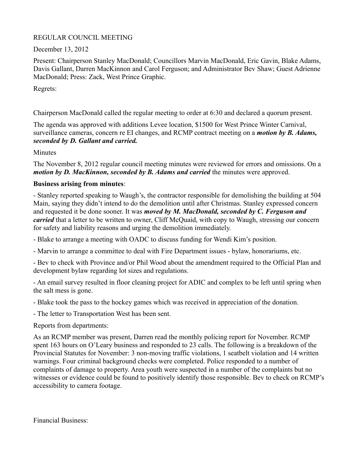## REGULAR COUNCIL MEETING

## December 13, 2012

Present: Chairperson Stanley MacDonald; Councillors Marvin MacDonald, Eric Gavin, Blake Adams, Davis Gallant, Darren MacKinnon and Carol Ferguson; and Administrator Bev Shaw; Guest Adrienne MacDonald; Press: Zack, West Prince Graphic.

Regrets:

Chairperson MacDonald called the regular meeting to order at 6:30 and declared a quorum present.

The agenda was approved with additions Levee location, \$1500 for West Prince Winter Carnival, surveillance cameras, concern re EI changes, and RCMP contract meeting on a *motion by B. Adams, seconded by D. Gallant and carried.*

**Minutes** 

The November 8, 2012 regular council meeting minutes were reviewed for errors and omissions. On a *motion by D. MacKinnon, seconded by B. Adams and carried* the minutes were approved.

### **Business arising from minutes**:

- Stanley reported speaking to Waugh's, the contractor responsible for demolishing the building at 504 Main, saying they didn't intend to do the demolition until after Christmas. Stanley expressed concern and requested it be done sooner. It was *moved by M. MacDonald, seconded by C. Ferguson and carried* that a letter to be written to owner, Cliff McQuaid, with copy to Waugh, stressing our concern for safety and liability reasons and urging the demolition immediately.

- Blake to arrange a meeting with OADC to discuss funding for Wendi Kim's position.

- Marvin to arrange a committee to deal with Fire Department issues - bylaw, honorariums, etc.

- Bev to check with Province and/or Phil Wood about the amendment required to the Official Plan and development bylaw regarding lot sizes and regulations.

- An email survey resulted in floor cleaning project for ADIC and complex to be left until spring when the salt mess is gone.

- Blake took the pass to the hockey games which was received in appreciation of the donation.

- The letter to Transportation West has been sent.

Reports from departments:

As an RCMP member was present, Darren read the monthly policing report for November. RCMP spent 163 hours on O'Leary business and responded to 23 calls. The following is a breakdown of the Provincial Statutes for November: 3 non-moving traffic violations, 1 seatbelt violation and 14 written warnings. Four criminal background checks were completed. Police responded to a number of complaints of damage to property. Area youth were suspected in a number of the complaints but no witnesses or evidence could be found to positively identify those responsible. Bev to check on RCMP's accessibility to camera footage.

Financial Business: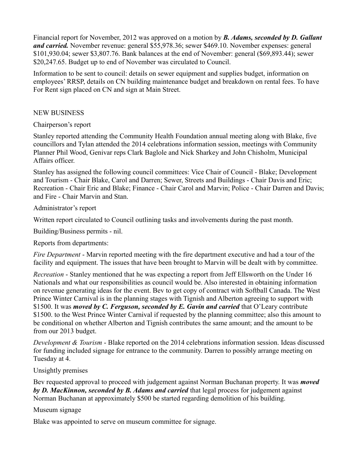Financial report for November, 2012 was approved on a motion by *B. Adams, seconded by D. Gallant and carried.* November revenue: general \$55,978.36; sewer \$469.10. November expenses: general \$101,930.04; sewer \$3,807.76. Bank balances at the end of November: general (\$69,893.44); sewer \$20,247.65. Budget up to end of November was circulated to Council.

Information to be sent to council: details on sewer equipment and supplies budget, information on employees' RRSP, details on CN building maintenance budget and breakdown on rental fees. To have For Rent sign placed on CN and sign at Main Street.

### NEW BUSINESS

### Chairperson's report

Stanley reported attending the Community Health Foundation annual meeting along with Blake, five councillors and Tylan attended the 2014 celebrations information session, meetings with Community Planner Phil Wood, Genivar reps Clark Baglole and Nick Sharkey and John Chisholm, Municipal Affairs officer.

Stanley has assigned the following council committees: Vice Chair of Council - Blake; Development and Tourism - Chair Blake, Carol and Darren; Sewer, Streets and Buildings - Chair Davis and Eric; Recreation - Chair Eric and Blake; Finance - Chair Carol and Marvin; Police - Chair Darren and Davis; and Fire - Chair Marvin and Stan.

Administrator's report

Written report circulated to Council outlining tasks and involvements during the past month.

Building/Business permits - nil.

Reports from departments:

*Fire Department* - Marvin reported meeting with the fire department executive and had a tour of the facility and equipment. The issues that have been brought to Marvin will be dealt with by committee.

*Recreation* - Stanley mentioned that he was expecting a report from Jeff Ellsworth on the Under 16 Nationals and what our responsibilities as council would be. Also interested in obtaining information on revenue generating ideas for the event. Bev to get copy of contract with Softball Canada. The West Prince Winter Carnival is in the planning stages with Tignish and Alberton agreeing to support with \$1500. It was *moved by C. Ferguson, seconded by E. Gavin and carried* that O'Leary contribute \$1500. to the West Prince Winter Carnival if requested by the planning committee; also this amount to be conditional on whether Alberton and Tignish contributes the same amount; and the amount to be from our 2013 budget.

*Development & Tourism* - Blake reported on the 2014 celebrations information session. Ideas discussed for funding included signage for entrance to the community. Darren to possibly arrange meeting on Tuesday at 4.

# Unsightly premises

Bev requested approval to proceed with judgement against Norman Buchanan property. It was *moved by D. MacKinnon, seconded by B. Adams and carried* that legal process for judgement against Norman Buchanan at approximately \$500 be started regarding demolition of his building.

# Museum signage

Blake was appointed to serve on museum committee for signage.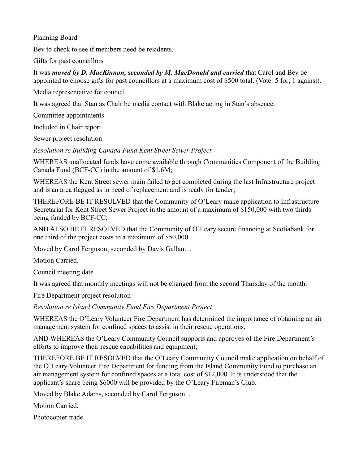Planning Board

Bev to check to see if members need be residents.

Gifts for past councillors

It was *moved by D. MacKinnon, seconded by M. MacDonald and carried* that Carol and Bev be appointed to choose gifts for past councillors at a maximum cost of \$500 total. (Vote: 5 for; 1 against).

Media representative for council

It was agreed that Stan as Chair be media contact with Blake acting in Stan's absence.

Committee appointments

Included in Chair report.

Sewer project resolution

*Resolution re Building Canada Fund Kent Street Sewer Project*

WHEREAS unallocated funds have come available through Communities Component of the Building Canada Fund (BCF-CC) in the amount of \$1.6M;

WHEREAS the Kent Street sewer main failed to get completed during the last Infrastructure project and is an area flagged as in need of replacement and is ready for tender;

THEREFORE BE IT RESOLVED that the Community of O'Leary make application to Infrastructure Secretariat for Kent Street Sewer Project in the amount of a maximum of \$150,000 with two thirds being funded by BCF-CC;

AND ALSO BE IT RESOLVED that the Community of O'Leary secure financing at Scotiabank for one third of the project costs to a maximum of \$50,000.

Moved by Carol Ferguson, seconded by Davis Gallant. .

Motion Carried.

Council meeting date

It was agreed that monthly meetings will not be changed from the second Thursday of the month.

Fire Department project resolution

*Resolution re Island Community Fund Fire Department Project*

WHEREAS the O'Leary Volunteer Fire Department has determined the importance of obtaining an air management system for confined spaces to assist in their rescue operations;

AND WHEREAS the O'Leary Community Council supports and approves of the Fire Department's efforts to improve their rescue capabilities and equipment;

THEREFORE BE IT RESOLVED that the O'Leary Community Council make application on behalf of the O'Leary Volunteer Fire Department for funding from the Island Community Fund to purchase an air management system for confined spaces at a total cost of \$12,000. It is understood that the applicant's share being \$6000 will be provided by the O'Leary Fireman's Club.

Moved by Blake Adams, seconded by Carol Ferguson. .

Motion Carried.

Photocopier trade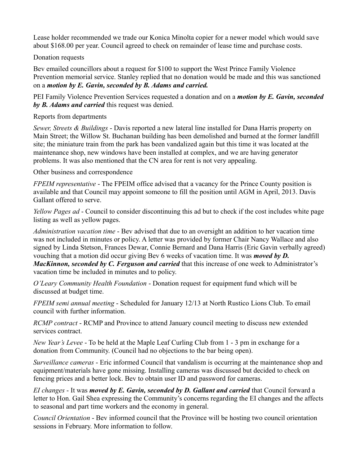Lease holder recommended we trade our Konica Minolta copier for a newer model which would save about \$168.00 per year. Council agreed to check on remainder of lease time and purchase costs.

Donation requests

Bev emailed councillors about a request for \$100 to support the West Prince Family Violence Prevention memorial service. Stanley replied that no donation would be made and this was sanctioned on a *motion by E. Gavin, seconded by B. Adams and carried.*

PEI Family Violence Prevention Services requested a donation and on a *motion by E. Gavin, seconded by B. Adams and carried* this request was denied.

Reports from departments

*Sewer, Streets & Buildings* - Davis reported a new lateral line installed for Dana Harris property on Main Street; the Willow St. Buchanan building has been demolished and burned at the former landfill site; the miniature train from the park has been vandalized again but this time it was located at the maintenance shop, new windows have been installed at complex, and we are having generator problems. It was also mentioned that the CN area for rent is not very appealing.

Other business and correspondence

*FPEIM representative* - The FPEIM office advised that a vacancy for the Prince County position is available and that Council may appoint someone to fill the position until AGM in April, 2013. Davis Gallant offered to serve.

*Yellow Pages ad* - Council to consider discontinuing this ad but to check if the cost includes white page listing as well as yellow pages.

*Administration vacation time* - Bev advised that due to an oversight an addition to her vacation time was not included in minutes or policy. A letter was provided by former Chair Nancy Wallace and also signed by Linda Stetson, Frances Dewar, Connie Bernard and Dana Harris (Eric Gavin verbally agreed) vouching that a motion did occur giving Bev 6 weeks of vacation time. It was *moved by D. MacKinnon, seconded by C. Ferguson and carried* that this increase of one week to Administrator's vacation time be included in minutes and to policy.

*O'Leary Community Health Foundation* - Donation request for equipment fund which will be discussed at budget time.

*FPEIM semi annual meeting* - Scheduled for January 12/13 at North Rustico Lions Club. To email council with further information.

*RCMP contract* - RCMP and Province to attend January council meeting to discuss new extended services contract.

*New Year's Levee* - To be held at the Maple Leaf Curling Club from 1 - 3 pm in exchange for a donation from Community. (Council had no objections to the bar being open).

*Surveillance cameras* - Eric informed Council that vandalism is occurring at the maintenance shop and equipment/materials have gone missing. Installing cameras was discussed but decided to check on fencing prices and a better lock. Bev to obtain user ID and password for cameras.

*EI changes* - It was *moved by E. Gavin, seconded by D. Gallant and carried* that Council forward a letter to Hon. Gail Shea expressing the Community's concerns regarding the EI changes and the affects to seasonal and part time workers and the economy in general.

*Council Orientation* - Bev informed council that the Province will be hosting two council orientation sessions in February. More information to follow.